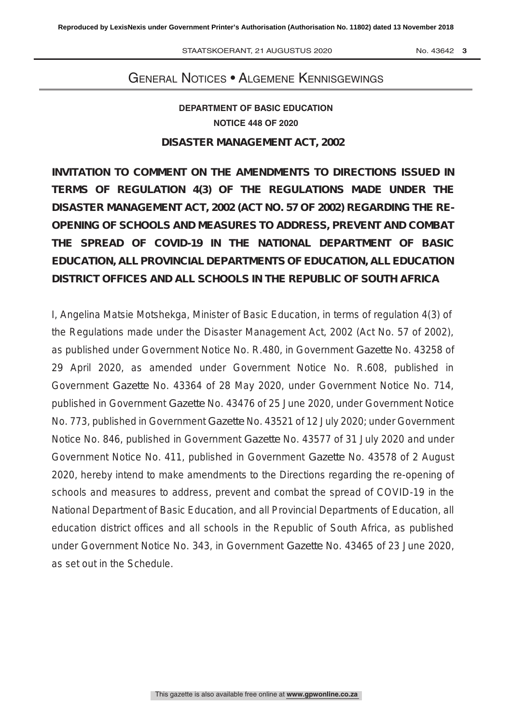# GENERAL NOTICES · ALGEMENE KENNISGEWINGS

# **DEPARTMENT OF BASIC EDUCATION NOTICE 448 OF 2020 NO. ZEPART I WENT OF BASIC EDUCATION**

# **DISASTER MANAGEMENT ACT, 2002**

**INVITATION TO COMMENT ON THE AMENDMENTS TO DIRECTIONS ISSUED IN TERMS OF REGULATION 4(3) OF THE REGULATIONS MADE UNDER THE DISASTER MANAGEMENT ACT, 2002 (ACT NO. 57 OF 2002) REGARDING THE RE-OPENING OF SCHOOLS AND MEASURES TO ADDRESS, PREVENT AND COMBAT THE SPREAD OF COVID-19 IN THE NATIONAL DEPARTMENT OF BASIC EDUCATION, ALL PROVINCIAL DEPARTMENTS OF EDUCATION, ALL EDUCATION DISTRICT OFFICES AND ALL SCHOOLS IN THE REPUBLIC OF SOUTH AFRICA** 

I, Angelina Matsie Motshekga, Minister of Basic Education, in terms of regulation 4(3) of the Regulations made under the Disaster Management Act, 2002 (Act No. 57 of 2002), as published under Government Notice No. R.480, in Government *Gazette* No. 43258 of 29 April 2020, as amended under Government Notice No. R.608, published in Government *Gazette* No. 43364 of 28 May 2020, under Government Notice No. 714, published in Government *Gazette* No. 43476 of 25 June 2020, under Government Notice No. 773, published in Government *Gazette* No. 43521 of 12 July 2020; under Government Notice No. 846, published in Government *Gazette* No. 43577 of 31 July 2020 and under Government Notice No. 411, published in Government *Gazette* No. 43578 of 2 August 2020, hereby intend to make amendments to the Directions regarding the re-opening of schools and measures to address, prevent and combat the spread of COVID-19 in the National Department of Basic Education, and all Provincial Departments of Education, all education district offices and all schools in the Republic of South Africa, as published under Government Notice No. 343, in Government *Gazette* No. 43465 of 23 June 2020, as set out in the Schedule.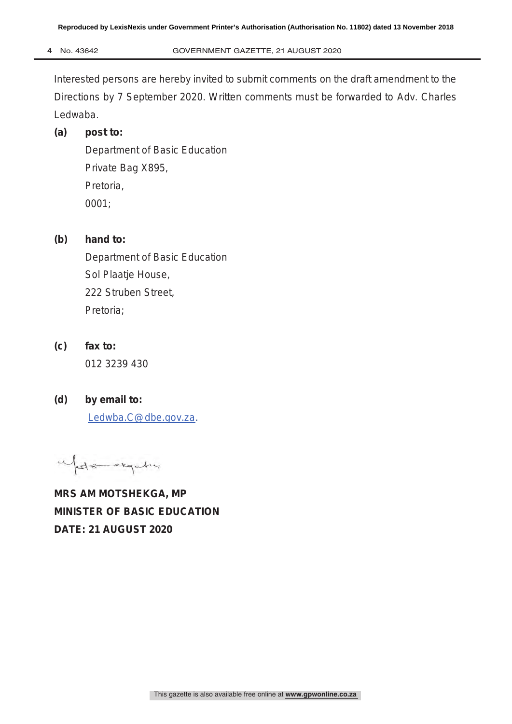Interested persons are hereby invited to submit comments on the draft amendment to the Directions by 7 September 2020. Written comments must be forwarded to Adv. Charles Ledwaba.

# **(a) post to:**

Department of Basic Education Private Bag X895, Pretoria, 0001;

# **(b) hand to:**

 Department of Basic Education Sol Plaatje House, 222 Struben Street, Pretoria;

- **(c) fax to:**  012 3239 430
- **(d) by email to:**  Ledwba.C@dbe.gov.za.

Mate expertire

**MRS AM MOTSHEKGA, MP MINISTER OF BASIC EDUCATION DATE: 21 AUGUST 2020**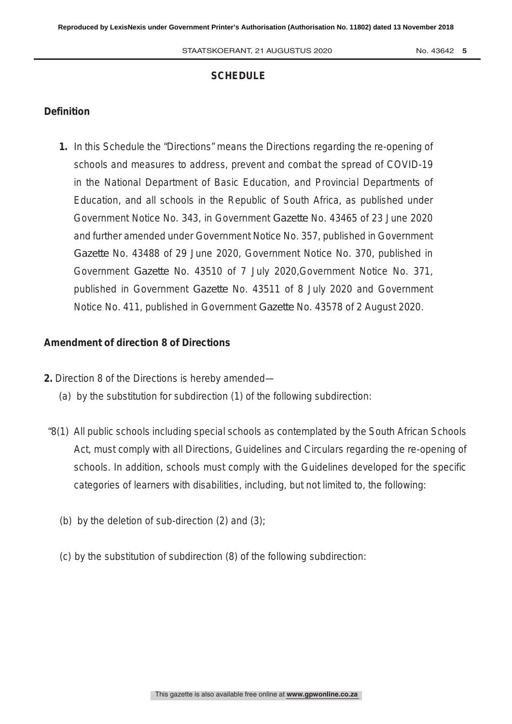### **SCHEDULE**

### **Definition**

**1.** In this Schedule the "Directions" means the Directions regarding the re-opening of schools and measures to address, prevent and combat the spread of COVID-19 in the National Department of Basic Education, and Provincial Departments of Education, and all schools in the Republic of South Africa, as published under Government Notice No. 343, in Government *Gazette* No. 43465 of 23 June 2020 and further amended under Government Notice No. 357, published in Government *Gazette* No. 43488 of 29 June 2020, Government Notice No. 370, published in Government *Gazette* No. 43510 of 7 July 2020,Government Notice No. 371, published in Government *Gazette* No. 43511 of 8 July 2020 and Government Notice No. 411, published in Government *Gazette* No. 43578 of 2 August 2020.

#### **Amendment of direction 8 of Directions**

- **2.** Direction 8 of the Directions is hereby amended—
	- (a) by the substitution for subdirection (1) of the following subdirection:
- "8(1) All public schools including special schools as contemplated by the South African Schools Act, must comply with all Directions, Guidelines and Circulars regarding the re-opening of schools. In addition, schools must comply with the Guidelines developed for the specific categories of learners with disabilities, including, but not limited to, the following:
	- (b) by the deletion of sub-direction (2) and (3);
	- (c) by the substitution of subdirection (8) of the following subdirection: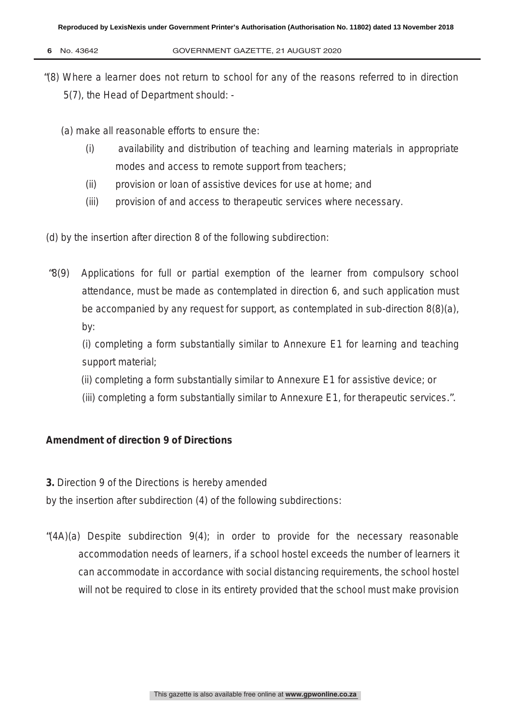- 
- **6** No. 43642 GOVERNMENT GAZETTE, 21 AUGUST 2020
- "(8) Where a learner does not return to school for any of the reasons referred to in direction 5(7), the Head of Department should: -

(a) make all reasonable efforts to ensure the:

- (i) availability and distribution of teaching and learning materials in appropriate modes and access to remote support from teachers;
- (ii) provision or loan of assistive devices for use at home; and
- (iii) provision of and access to therapeutic services where necessary.

(d) by the insertion after direction 8 of the following subdirection:

"8(9) Applications for full or partial exemption of the learner from compulsory school attendance, must be made as contemplated in direction 6, and such application must be accompanied by any request for support, as contemplated in sub-direction 8(8)(a), by:

(i) completing a form substantially similar to Annexure E1 for learning and teaching support material;

- (ii) completing a form substantially similar to Annexure E1 for assistive device; or
- (iii) completing a form substantially similar to Annexure E1, for therapeutic services.".

## **Amendment of direction 9 of Directions**

**3.** Direction 9 of the Directions is hereby amended

by the insertion after subdirection (4) of the following subdirections:

"(4A)(a) Despite subdirection 9(4); in order to provide for the necessary reasonable accommodation needs of learners, if a school hostel exceeds the number of learners it can accommodate in accordance with social distancing requirements, the school hostel will not be required to close in its entirety provided that the school must make provision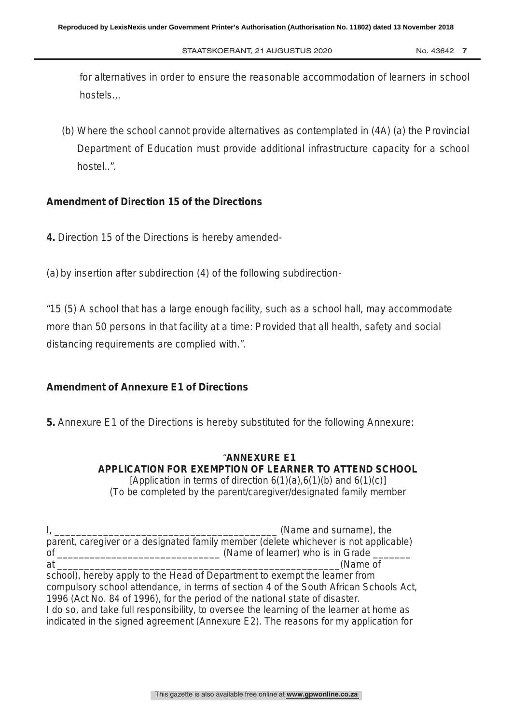for alternatives in order to ensure the reasonable accommodation of learners in school hostels.,.

(b) Where the school cannot provide alternatives as contemplated in (4A) (a) the Provincial Department of Education must provide additional infrastructure capacity for a school hostel..".

### **Amendment of Direction 15 of the Directions**

- **4.** Direction 15 of the Directions is hereby amended-
- (a) by insertion after subdirection (4) of the following subdirection-

"15 (5) A school that has a large enough facility, such as a school hall, may accommodate more than 50 persons in that facility at a time: Provided that all health, safety and social distancing requirements are complied with.".

# **Amendment of Annexure E1 of Directions**

**5.** Annexure E1 of the Directions is hereby substituted for the following Annexure:

### "**ANNEXURE E1 APPLICATION FOR EXEMPTION OF LEARNER TO ATTEND SCHOOL** [Application in terms of direction  $6(1)(a)$ ,  $6(1)(b)$  and  $6(1)(c)$ ] *(To be completed by the parent/caregiver/designated family member*

I, the contract of the contract of the contract of the contract of the contract of the contract of the contract of the contract of the contract of the contract of the contract of the contract of the contract of the contrac parent, caregiver or a designated family member *(delete whichever is not applicable)* of \_\_\_\_\_\_\_\_\_\_\_\_\_\_\_\_\_\_\_\_\_\_\_\_\_\_\_\_\_\_ (Name of learner) who is in Grade \_\_\_\_\_\_\_ at  $\alpha$  at  $\alpha$  at  $\alpha$  at  $\alpha$  at  $\alpha$  at  $\alpha$  at  $\alpha$  at  $\alpha$  at  $\alpha$  at  $\alpha$  at  $\alpha$  at  $\alpha$  at  $\alpha$  at  $\alpha$  at  $\alpha$  at  $\alpha$  at  $\alpha$  at  $\alpha$  at  $\alpha$  at  $\alpha$  at  $\alpha$  at  $\alpha$  at  $\alpha$  at  $\alpha$  at  $\alpha$  at  $\alpha$  at  $\alpha$  at  $\alpha$ school), hereby apply to the Head of Department to exempt the learner from compulsory school attendance, in terms of section 4 of the South African Schools Act, 1996 (Act No. 84 of 1996), for the period of the national state of disaster. I do so, and take full responsibility, to oversee the learning of the learner at home as indicated in the signed agreement (Annexure E2). The reasons for my application for